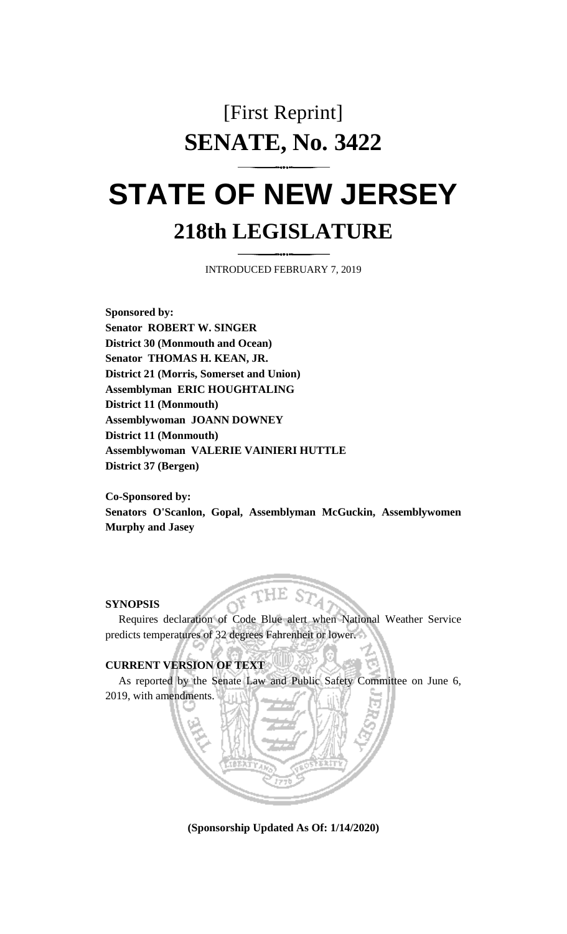## [First Reprint] **SENATE, No. 3422**

# **STATE OF NEW JERSEY 218th LEGISLATURE**

INTRODUCED FEBRUARY 7, 2019

**Sponsored by: Senator ROBERT W. SINGER District 30 (Monmouth and Ocean) Senator THOMAS H. KEAN, JR. District 21 (Morris, Somerset and Union) Assemblyman ERIC HOUGHTALING District 11 (Monmouth) Assemblywoman JOANN DOWNEY District 11 (Monmouth) Assemblywoman VALERIE VAINIERI HUTTLE District 37 (Bergen)**

**Co-Sponsored by: Senators O'Scanlon, Gopal, Assemblyman McGuckin, Assemblywomen Murphy and Jasey**

#### **SYNOPSIS**

Requires declaration of Code Blue alert when National Weather Service predicts temperatures of 32 degrees Fahrenheit or lower.

#### **CURRENT VERSION OF TEXT**

As reported by the Senate Law and Public Safety Committee on June 6, 2019, with amendments.



**(Sponsorship Updated As Of: 1/14/2020)**